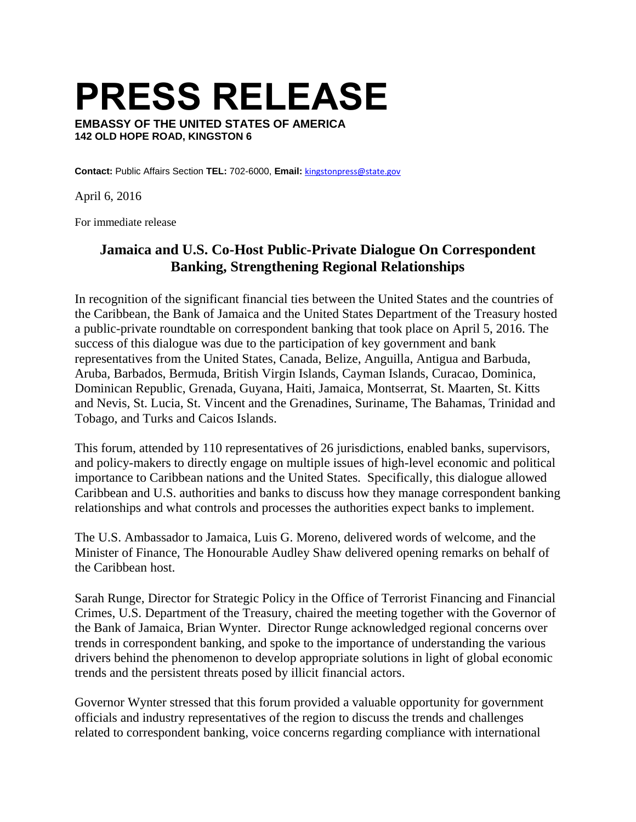**PRESS RELEASE**

**EMBASSY OF THE UNITED STATES OF AMERICA 142 OLD HOPE ROAD, KINGSTON 6**

**Contact:** Public Affairs Section **TEL:** 702-6000, **Email:** [kingstonpress@state.gov](mailto:kingstonpress@state.gov)

April 6, 2016

For immediate release

## **Jamaica and U.S. Co-Host Public-Private Dialogue On Correspondent Banking, Strengthening Regional Relationships**

In recognition of the significant financial ties between the United States and the countries of the Caribbean, the Bank of Jamaica and the United States Department of the Treasury hosted a public-private roundtable on correspondent banking that took place on April 5, 2016. The success of this dialogue was due to the participation of key government and bank representatives from the United States, Canada, Belize, Anguilla, Antigua and Barbuda, Aruba, Barbados, Bermuda, British Virgin Islands, Cayman Islands, Curacao, Dominica, Dominican Republic, Grenada, Guyana, Haiti, Jamaica, Montserrat, St. Maarten, St. Kitts and Nevis, St. Lucia, St. Vincent and the Grenadines, Suriname, The Bahamas, Trinidad and Tobago, and Turks and Caicos Islands.

This forum, attended by 110 representatives of 26 jurisdictions, enabled banks, supervisors, and policy-makers to directly engage on multiple issues of high-level economic and political importance to Caribbean nations and the United States. Specifically, this dialogue allowed Caribbean and U.S. authorities and banks to discuss how they manage correspondent banking relationships and what controls and processes the authorities expect banks to implement.

The U.S. Ambassador to Jamaica, Luis G. Moreno, delivered words of welcome, and the Minister of Finance, The Honourable Audley Shaw delivered opening remarks on behalf of the Caribbean host.

Sarah Runge, Director for Strategic Policy in the Office of Terrorist Financing and Financial Crimes, U.S. Department of the Treasury, chaired the meeting together with the Governor of the Bank of Jamaica, Brian Wynter. Director Runge acknowledged regional concerns over trends in correspondent banking, and spoke to the importance of understanding the various drivers behind the phenomenon to develop appropriate solutions in light of global economic trends and the persistent threats posed by illicit financial actors.

Governor Wynter stressed that this forum provided a valuable opportunity for government officials and industry representatives of the region to discuss the trends and challenges related to correspondent banking, voice concerns regarding compliance with international